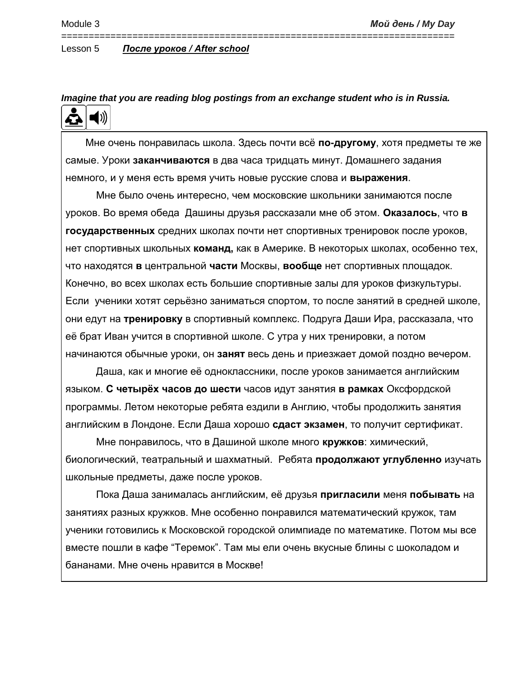## Lesson 5 *После уроков / After school*

*Imagine that you are reading blog postings from an exchange student who is in Russia.*  $\blacktriangleleft$  )) £À

========================================================================

 Мне очень понравилась школа. Здесь почти всё **по-другому**, хотя предметы те же самые. Уроки **заканчиваются** в два часа тридцать минут. Домашнего задания немного, и у меня есть время учить новые русские слова и **выражения**.

Мне было очень интересно, чем московские школьники занимаются после уроков. Во время обеда Дашины друзья рассказали мне об этом. **Оказалось**, что **в государственных** средних школах почти нет спортивных тренировок после уроков, нет спортивных школьных **команд,** как в Америке. В некоторых школах, особенно тех, что находятся **в** центральной **части** Москвы, **вообще** нет спортивных площадок. Конечно, во всех школах есть большие спортивные залы для уроков физкультуры. Если ученики хотят серьёзно заниматься спортом, то после занятий в средней школе, они едут на **тренировку** в спортивный комплекс. Подруга Даши Ира, рассказала, что её брат Иван учится в спортивной школе. С утра у них тренировки, а потом начинаются обычные уроки, он **занят** весь день и приезжает домой поздно вечером.

Даша, как и многие её одноклассники, после уроков занимается английским языком. **С четырёх часов до шести** часов идут занятия **в рамках** Оксфордской программы. Летом некоторые ребята ездили в Англию, чтобы продолжить занятия английским в Лондоне. Если Даша хорошо **сдаст экзамен**, то получит сертификат.

Мне понравилось, что в Дашиной школе много **кружков**: химический, биологический, театральный и шахматный. Ребята **продолжают углубленно** изучать школьные предметы, даже после уроков.

Пока Даша занималась английским, её друзья **пригласили** меня **побывать** на занятиях разных кружков. Мне особенно понравился математический кружок, там ученики готовились к Московской городской олимпиаде по математике. Потом мы все вместе пошли в кафе "Теремок". Там мы ели очень вкусные блины с шоколадом и бананами. Мне очень нравится в Москве!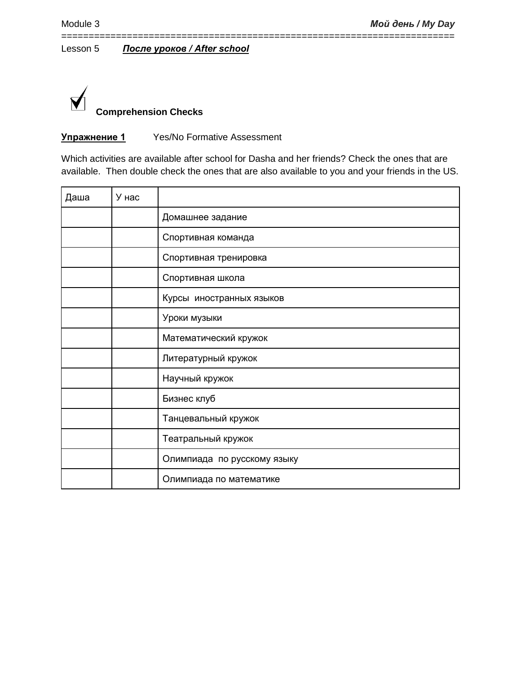

# **Упражнение 1** Yes/No Formative Assessment

Which activities are available after school for Dasha and her friends? Check the ones that are available. Then double check the ones that are also available to you and your friends in the US.

========================================================================

| Даша | У нас |                             |
|------|-------|-----------------------------|
|      |       | Домашнее задание            |
|      |       | Спортивная команда          |
|      |       | Спортивная тренировка       |
|      |       | Спортивная школа            |
|      |       | Курсы иностранных языков    |
|      |       | Уроки музыки                |
|      |       | Математический кружок       |
|      |       | Литературный кружок         |
|      |       | Научный кружок              |
|      |       | Бизнес клуб                 |
|      |       | Танцевальный кружок         |
|      |       | Театральный кружок          |
|      |       | Олимпиада по русскому языку |
|      |       | Олимпиада по математике     |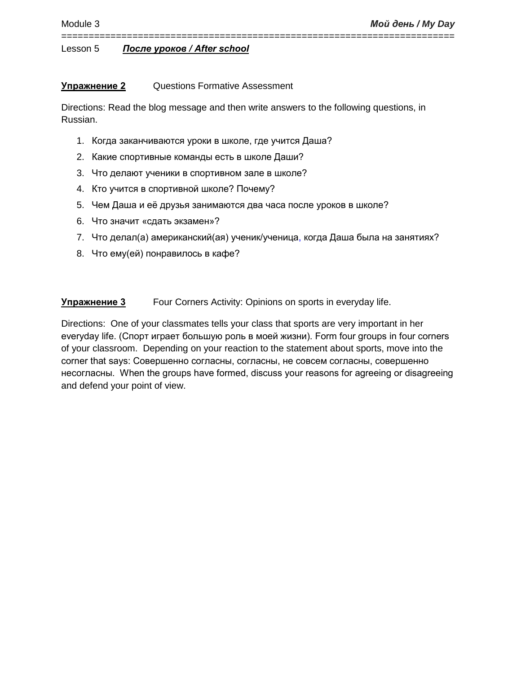# **Упражнение 2** Questions Formative Assessment

Directions: Read the blog message and then write answers to the following questions, in Russian.

========================================================================

- 1. Когда заканчиваются уроки в школе, где учится Даша?
- 2. Какие спортивные команды есть в школе Даши?
- 3. Что делают ученики в спортивном зале в школе?
- 4. Кто учится в спортивной школе? Почему?
- 5. Чем Даша и её друзья занимаются два часа после уроков в школе?
- 6. Что значит «сдать экзамен»?
- 7. Что делал(а) американский(ая) ученик/ученица, когда Даша была на занятиях?
- 8. Что ему(ей) понравилось в кафе?

**Упражнение 3** Four Corners Activity: Opinions on sports in everyday life.

Directions: One of your classmates tells your class that sports are very important in her everyday life. (Спорт играет большую роль в моей жизни). Form four groups in four corners of your classroom. Depending on your reaction to the statement about sports, move into the corner that says: Совершенно согласны, согласны, не совсем согласны, совершенно несогласны. When the groups have formed, discuss your reasons for agreeing or disagreeing and defend your point of view.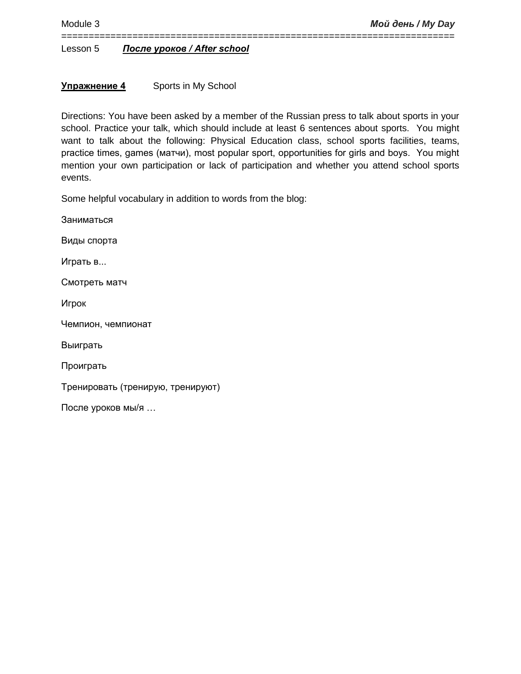# **Упражнение 4** Sports in My School

Directions: You have been asked by a member of the Russian press to talk about sports in your school. Practice your talk, which should include at least 6 sentences about sports. You might want to talk about the following: Physical Education class, school sports facilities, teams, practice times, games (матчи), most popular sport, opportunities for girls and boys. You might mention your own participation or lack of participation and whether you attend school sports events.

========================================================================

Some helpful vocabulary in addition to words from the blog:

Заниматься Виды спорта Играть в... Смотреть матч Игрок Чемпион, чемпионат Выиграть Проиграть Тренировать (тренирую, тренируют) После уроков мы/я …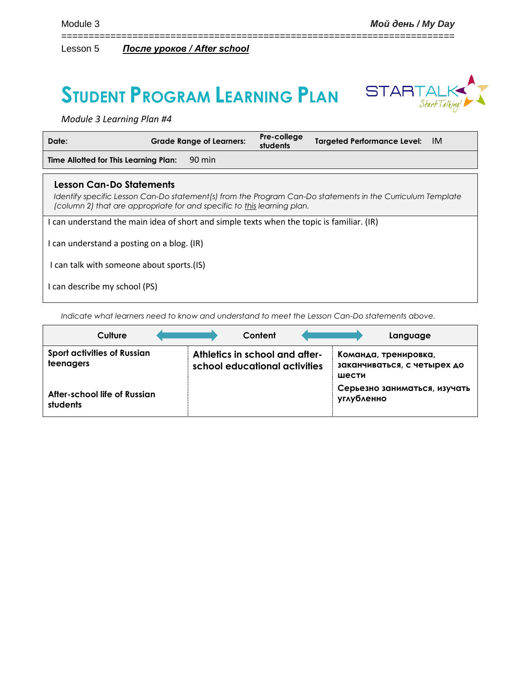# **STUDENT PROGRAM LEARNING PLAN**



*Module 3 Learning Plan #4*

| Date:                                                                                     | <b>Grade Range of Learners:</b>                                         | Pre-college<br>students | Targeted Performance Level: IM                                                                             |  |
|-------------------------------------------------------------------------------------------|-------------------------------------------------------------------------|-------------------------|------------------------------------------------------------------------------------------------------------|--|
| Time Allotted for This Learning Plan:                                                     | 90 min                                                                  |                         |                                                                                                            |  |
| <b>Lesson Can-Do Statements</b>                                                           | (column 2) that are appropriate for and specific to this learning plan. |                         | Identify specific Lesson Can-Do statement(s) from the Program Can-Do statements in the Curriculum Template |  |
| I can understand the main idea of short and simple texts when the topic is familiar. (IR) |                                                                         |                         |                                                                                                            |  |
| I can understand a posting on a blog. (IR)                                                |                                                                         |                         |                                                                                                            |  |
| I can talk with someone about sports.(IS)                                                 |                                                                         |                         |                                                                                                            |  |
| I can describe my school (PS)                                                             |                                                                         |                         |                                                                                                            |  |

========================================================================

*Indicate what learners need to know and understand to meet the Lesson Can-Do statements above.* 

| Culture                                         | Content                                                         | Language                                                     |
|-------------------------------------------------|-----------------------------------------------------------------|--------------------------------------------------------------|
| <b>Sport activities of Russian</b><br>teenagers | Athletics in school and after-<br>school educational activities | Команда, тренировка,<br>заканчиваться, с четырех до<br>шести |
| After-school life of Russian<br>students        |                                                                 | Серьезно заниматься, изучать<br>углубленно                   |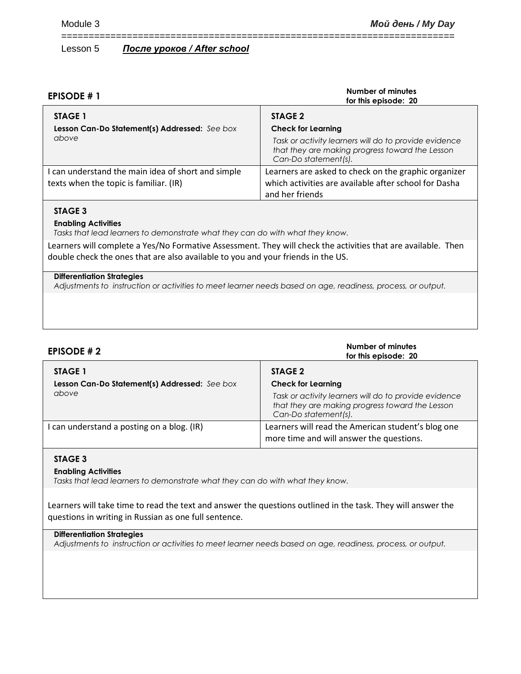| <b>EPISODE #1</b>                                                                            | Number of minutes<br>for this episode: 20                                                                                                                                |
|----------------------------------------------------------------------------------------------|--------------------------------------------------------------------------------------------------------------------------------------------------------------------------|
| STAGE 1<br>Lesson Can-Do Statement(s) Addressed: See box<br>above                            | STAGE 2<br><b>Check for Learning</b><br>Task or activity learners will do to provide evidence<br>that they are making progress toward the Lesson<br>Can-Do statement(s). |
| I can understand the main idea of short and simple<br>texts when the topic is familiar. (IR) | Learners are asked to check on the graphic organizer<br>which activities are available after school for Dasha<br>and her friends                                         |

========================================================================

## **STAGE 3**

#### **Enabling Activities**

*Tasks that lead learners to demonstrate what they can do with what they know.*

Learners will complete a Yes/No Formative Assessment. They will check the activities that are available. Then double check the ones that are also available to you and your friends in the US.

#### **Differentiation Strategies**

*Adjustments to instruction or activities to meet learner needs based on age, readiness, process, or output.*

| EPISODE $# 2$                                 | Number of minutes<br>for this episode: 20                                                                                        |
|-----------------------------------------------|----------------------------------------------------------------------------------------------------------------------------------|
| STAGE 1                                       | STAGE 2                                                                                                                          |
| Lesson Can-Do Statement(s) Addressed: See box | <b>Check for Learning</b>                                                                                                        |
| above                                         | Task or activity learners will do to provide evidence<br>that they are making progress toward the Lesson<br>Can-Do statement(s). |
| I can understand a posting on a blog. (IR)    | Learners will read the American student's blog one<br>more time and will answer the questions.                                   |

# **STAGE 3**

#### **Enabling Activities**

*Tasks that lead learners to demonstrate what they can do with what they know.*

Learners will take time to read the text and answer the questions outlined in the task. They will answer the questions in writing in Russian as one full sentence.

## **Differentiation Strategies**

*Adjustments to instruction or activities to meet learner needs based on age, readiness, process, or output.*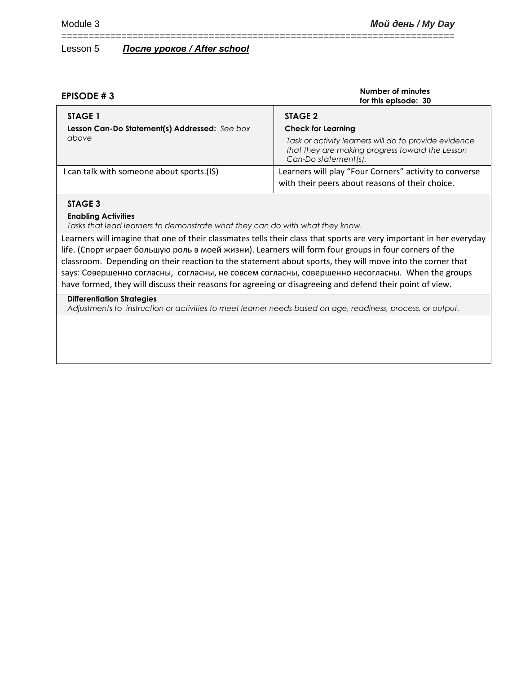| EPISODE #3                                                      | Number of minutes<br>for this episode: 30                                                                                        |
|-----------------------------------------------------------------|----------------------------------------------------------------------------------------------------------------------------------|
| <b>STAGE 1</b><br>Lesson Can-Do Statement(s) Addressed: See box | STAGE 2<br><b>Check for Learning</b>                                                                                             |
| above                                                           | Task or activity learners will do to provide evidence<br>that they are making progress toward the Lesson<br>Can-Do statement(s). |
| I can talk with someone about sports.(IS)                       | Learners will play "Four Corners" activity to converse<br>with their peers about reasons of their choice.                        |

========================================================================

## **STAGE 3**

#### **Enabling Activities**

*Tasks that lead learners to demonstrate what they can do with what they know.*

Learners will imagine that one of their classmates tells their class that sports are very important in her everyday life. (Спорт играет большую роль в моей жизни). Learners will form four groups in four corners of the classroom. Depending on their reaction to the statement about sports, they will move into the corner that says: Совершенно согласны, согласны, не совсем согласны, совершенно несогласны. When the groups have formed, they will discuss their reasons for agreeing or disagreeing and defend their point of view.

#### **Differentiation Strategies**

*Adjustments to instruction or activities to meet learner needs based on age, readiness, process, or output.*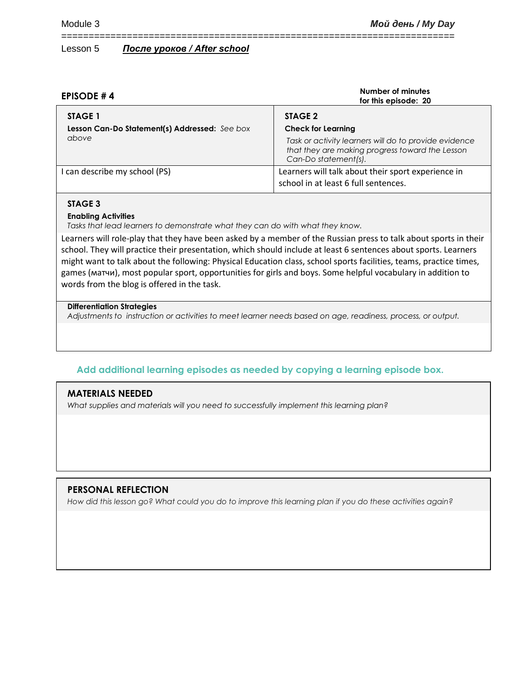| EPISODE #4                                               | Number of minutes<br>for this episode: 20                                                                                        |
|----------------------------------------------------------|----------------------------------------------------------------------------------------------------------------------------------|
| STAGE 1<br>Lesson Can-Do Statement(s) Addressed: See box | STAGE 2<br><b>Check for Learning</b>                                                                                             |
| above                                                    | Task or activity learners will do to provide evidence<br>that they are making progress toward the Lesson<br>Can-Do statement(s). |
| I can describe my school (PS)                            | Learners will talk about their sport experience in<br>school in at least 6 full sentences.                                       |

========================================================================

## **STAGE 3**

## **Enabling Activities**

*Tasks that lead learners to demonstrate what they can do with what they know.*

Learners will role-play that they have been asked by a member of the Russian press to talk about sports in their school. They will practice their presentation, which should include at least 6 sentences about sports. Learners might want to talk about the following: Physical Education class, school sports facilities, teams, practice times, games (матчи), most popular sport, opportunities for girls and boys. Some helpful vocabulary in addition to words from the blog is offered in the task.

## **Differentiation Strategies**

*Adjustments to instruction or activities to meet learner needs based on age, readiness, process, or output.*

# **Add additional learning episodes as needed by copying a learning episode box.**

# **MATERIALS NEEDED**

*What supplies and materials will you need to successfully implement this learning plan?*

# **PERSONAL REFLECTION**

*How did this lesson go? What could you do to improve this learning plan if you do these activities again?*